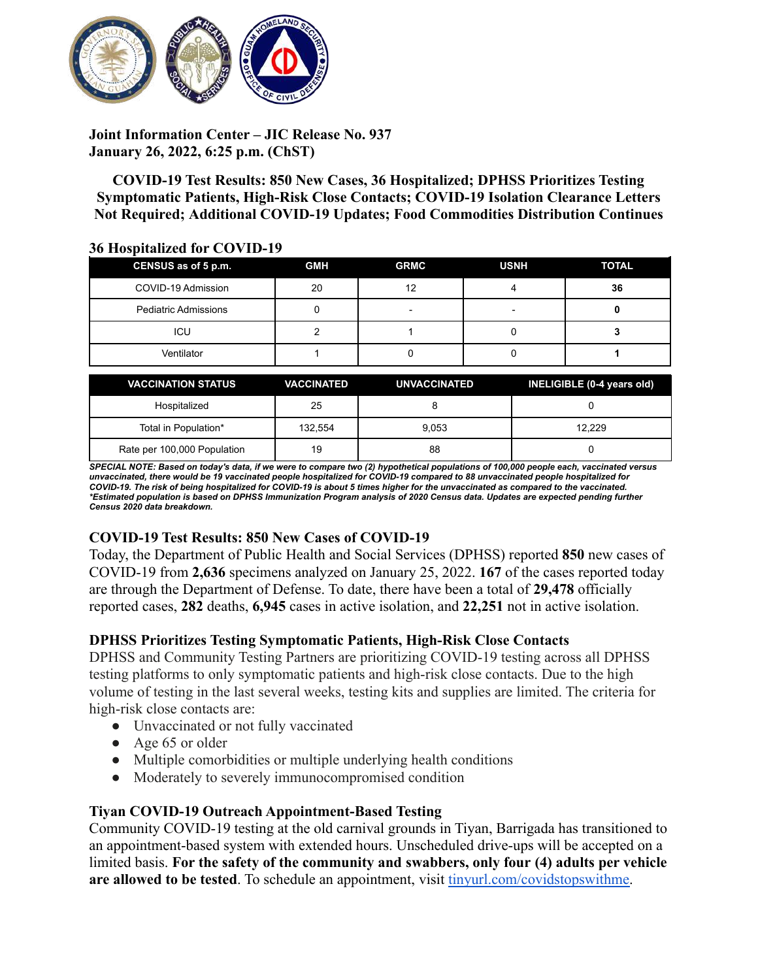

**Joint Information Center – JIC Release No. 937 January 26, 2022, 6:25 p.m. (ChST)**

**COVID-19 Test Results: 850 New Cases, 36 Hospitalized; DPHSS Prioritizes Testing Symptomatic Patients, High-Risk Close Contacts; COVID-19 Isolation Clearance Letters Not Required; Additional COVID-19 Updates; Food Commodities Distribution Continues**

#### **36 Hospitalized for COVID-19**

| CENSUS as of 5 p.m.         | <b>GMH</b> | <b>GRMC</b> | <b>USNH</b> | <b>TOTAL</b> |
|-----------------------------|------------|-------------|-------------|--------------|
| COVID-19 Admission          | 20         | 12          |             | 36           |
| <b>Pediatric Admissions</b> |            | -           | -           |              |
| ICU                         |            |             |             |              |
| Ventilator                  |            |             |             |              |

| <b>VACCINATION STATUS</b>   | <b>VACCINATED</b> | <b>UNVACCINATED</b> | INELIGIBLE (0-4 years old) |
|-----------------------------|-------------------|---------------------|----------------------------|
| Hospitalized                | 25                |                     |                            |
| Total in Population*        | 132.554           | 9.053               | 12.229                     |
| Rate per 100,000 Population | 19                | 88                  |                            |

SPECIAL NOTE: Based on today's data, if we were to compare two (2) hypothetical populations of 100,000 people each, vaccinated versus unvaccinated, there would be 19 vaccinated people hospitalized for COVID-19 compared to 88 unvaccinated people hospitalized for COVID-19. The risk of being hospitalized for COVID-19 is about 5 times higher for the unvaccinated as compared to the vaccinated. \*Estimated population is based on DPHSS Immunization Program analysis of 2020 Census data. Updates are expected pending further *Census 2020 data breakdown.*

## **COVID-19 Test Results: 850 New Cases of COVID-19**

Today, the Department of Public Health and Social Services (DPHSS) reported **850** new cases of COVID-19 from **2,636** specimens analyzed on January 25, 2022. **167** of the cases reported today are through the Department of Defense. To date, there have been a total of **29,478** officially reported cases, **282** deaths, **6,945** cases in active isolation, and **22,251** not in active isolation.

## **DPHSS Prioritizes Testing Symptomatic Patients, High-Risk Close Contacts**

DPHSS and Community Testing Partners are prioritizing COVID-19 testing across all DPHSS testing platforms to only symptomatic patients and high-risk close contacts. Due to the high volume of testing in the last several weeks, testing kits and supplies are limited. The criteria for high-risk close contacts are:

- Unvaccinated or not fully vaccinated
- Age 65 or older
- Multiple comorbidities or multiple underlying health conditions
- Moderately to severely immunocompromised condition

## **Tiyan COVID-19 Outreach Appointment-Based Testing**

Community COVID-19 testing at the old carnival grounds in Tiyan, Barrigada has transitioned to an appointment-based system with extended hours. Unscheduled drive-ups will be accepted on a limited basis. **For the safety of the community and swabbers, only four (4) adults per vehicle are allowed to be tested**. To schedule an appointment, visit [tinyurl.com/covidstopswithme.](http://tinyurl.com/covidstopswithme)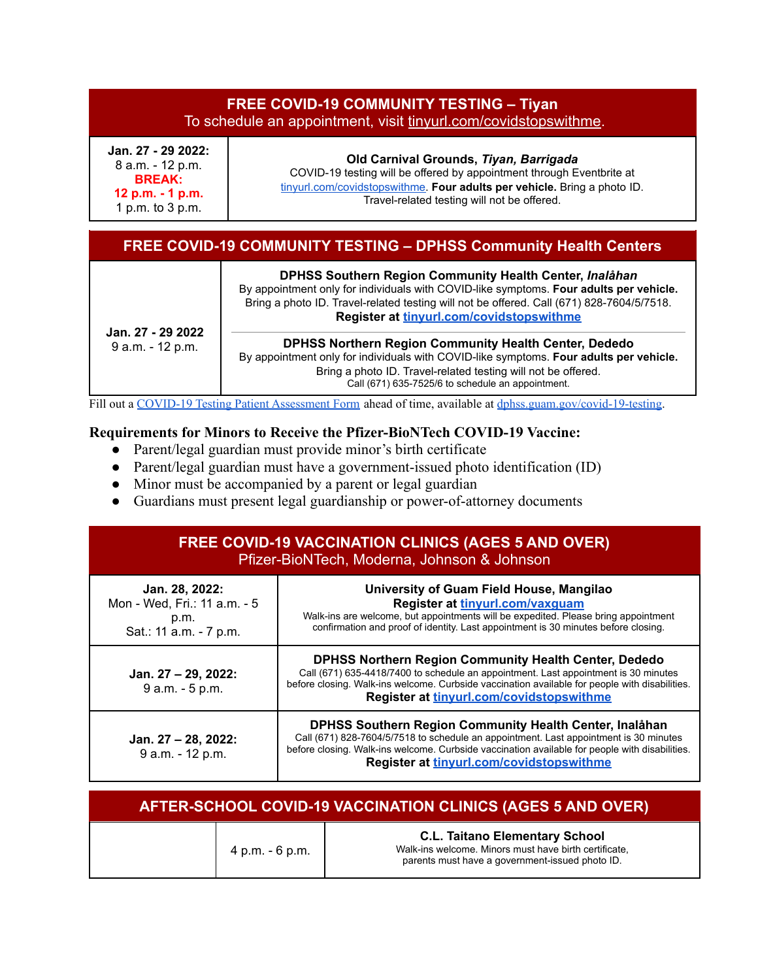| <b>FREE COVID-19 COMMUNITY TESTING - Tiyan</b><br>To schedule an appointment, visit tinyurl.com/covidstopswithme. |                                                                                                                                                                                                                                            |  |
|-------------------------------------------------------------------------------------------------------------------|--------------------------------------------------------------------------------------------------------------------------------------------------------------------------------------------------------------------------------------------|--|
| Jan. 27 - 29 2022:<br>8 a.m. - 12 p.m.<br><b>BREAK:</b><br>12 p.m. - 1 p.m.<br>1 p.m. to 3 p.m.                   | Old Carnival Grounds, Tiyan, Barrigada<br>COVID-19 testing will be offered by appointment through Eventbrite at<br>tinyurl.com/covidstopswithme. Four adults per vehicle. Bring a photo ID.<br>Travel-related testing will not be offered. |  |

# **FREE COVID-19 COMMUNITY TESTING – DPHSS Community Health Centers**

|                                       | DPHSS Southern Region Community Health Center, Inalåhan<br>By appointment only for individuals with COVID-like symptoms. Four adults per vehicle.<br>Bring a photo ID. Travel-related testing will not be offered. Call (671) 828-7604/5/7518.<br>Register at tinyurl.com/covidstopswithme |  |  |
|---------------------------------------|--------------------------------------------------------------------------------------------------------------------------------------------------------------------------------------------------------------------------------------------------------------------------------------------|--|--|
| Jan. 27 - 29 2022<br>9 a.m. - 12 p.m. | <b>DPHSS Northern Region Community Health Center, Dededo</b><br>By appointment only for individuals with COVID-like symptoms. Four adults per vehicle.                                                                                                                                     |  |  |
|                                       | Bring a photo ID. Travel-related testing will not be offered.<br>Call (671) 635-7525/6 to schedule an appointment.                                                                                                                                                                         |  |  |

Fill out a COVID-19 Testing Patient [Assessment](https://dphss.guam.gov/wp-content/uploads/2021/09/DPHSS-TIYAN-Covid-PUI-Lab-Form-RLG.pdf) Form ahead of time, available at [dphss.guam.gov/covid-19-testing.](https://dphss.guam.gov/covid-19-testing/)

#### **Requirements for Minors to Receive the Pfizer-BioNTech COVID-19 Vaccine:**

- Parent/legal guardian must provide minor's birth certificate
- Parent/legal guardian must have a government-issued photo identification (ID)
- Minor must be accompanied by a parent or legal guardian
- Guardians must present legal guardianship or power-of-attorney documents

## **FREE COVID-19 VACCINATION CLINICS (AGES 5 AND OVER)** Pfizer-BioNTech, Moderna, Johnson & Johnson

| Jan. 28, 2022:<br>Mon - Wed, Fri.: 11 a.m. - 5<br>p.m.<br>Sat.: 11 a.m. - 7 p.m. | University of Guam Field House, Mangilao<br>Register at tinyurl.com/vaxguam<br>Walk-ins are welcome, but appointments will be expedited. Please bring appointment<br>confirmation and proof of identity. Last appointment is 30 minutes before closing.                                           |
|----------------------------------------------------------------------------------|---------------------------------------------------------------------------------------------------------------------------------------------------------------------------------------------------------------------------------------------------------------------------------------------------|
| Jan. 27 – 29, 2022:<br>9 a.m. - 5 p.m.                                           | <b>DPHSS Northern Region Community Health Center, Dededo</b><br>Call (671) 635-4418/7400 to schedule an appointment. Last appointment is 30 minutes<br>before closing. Walk-ins welcome. Curbside vaccination available for people with disabilities.<br>Register at tinyurl.com/covidstopswithme |
| Jan. 27 - 28, 2022:<br>9 a.m. - 12 p.m.                                          | DPHSS Southern Region Community Health Center, Inalåhan<br>Call (671) 828-7604/5/7518 to schedule an appointment. Last appointment is 30 minutes<br>before closing. Walk-ins welcome. Curbside vaccination available for people with disabilities.<br>Register at tinyurl.com/covidstopswithme    |

| <b>AFTER-SCHOOL COVID-19 VACCINATION CLINICS (AGES 5 AND OVER)</b> |                 |                                                                                                                                                   |  |
|--------------------------------------------------------------------|-----------------|---------------------------------------------------------------------------------------------------------------------------------------------------|--|
|                                                                    | 4 p.m. - 6 p.m. | <b>C.L. Taitano Elementary School</b><br>Walk-ins welcome. Minors must have birth certificate,<br>parents must have a government-issued photo ID. |  |